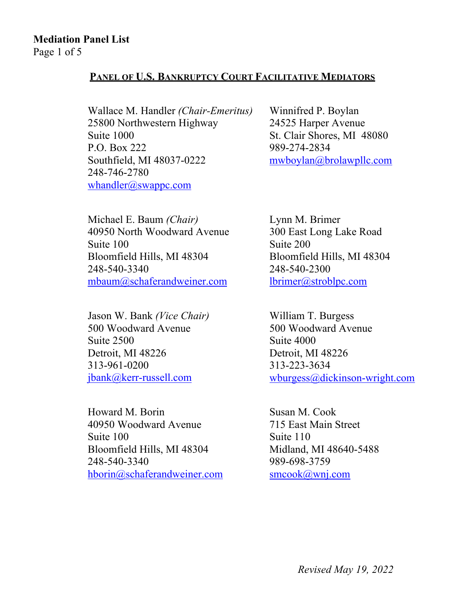# **Mediation Panel List**

Page 1 of 5

#### **PANEL OF U.S. BANKRUPTCY COURT FACILITATIVE MEDIATORS**

Wallace M. Handler *(Chair-Emeritus)*  25800 Northwestern Highway Suite 1000 P.O. Box 222 Southfield, MI 48037-0222 248-746-2780 whandler@swappc.com

Winnifred P. Boylan 24525 Harper Avenue St. Clair Shores, MI 48080 989-274-2834 mwboylan@brolawpllc.com

Michael E. Baum *(Chair)*  40950 North Woodward Avenue Suite 100 Bloomfield Hills, MI 48304 248-540-3340 mbaum@schaferandweiner.com

Jason W. Bank *(Vice Chair)*  500 Woodward Avenue Suite 2500 Detroit, MI 48226 313-961-0200 jbank@kerr-russell.com

Howard M. Borin 40950 Woodward Avenue Suite 100 Bloomfield Hills, MI 48304 248-540-3340 hborin@schaferandweiner.com

Lynn M. Brimer 300 East Long Lake Road Suite 200 Bloomfield Hills, MI 48304 248-540-2300 lbrimer@stroblpc.com

William T. Burgess 500 Woodward Avenue Suite 4000 Detroit, MI 48226 313-223-3634 wburgess@dickinson-wright.com

Susan M. Cook 715 East Main Street Suite 110 Midland, MI 48640-5488 989-698-3759 smcook@wnj.com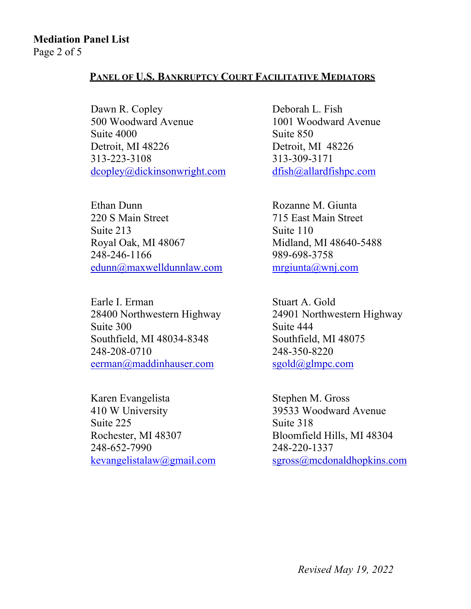## **Mediation Panel List**

Page 2 of 5

#### **PANEL OF U.S. BANKRUPTCY COURT FACILITATIVE MEDIATORS**

Dawn R. Copley 500 Woodward Avenue Suite 4000 Detroit, MI 48226 313-223-3108 dcopley@dickinsonwright.com

Ethan Dunn 220 S Main Street Suite 213 Royal Oak, MI 48067 248-246-1166 edunn@maxwelldunnlaw.com

Earle I. Erman 28400 Northwestern Highway Suite 300 Southfield, MI 48034-8348 248-208-0710 eerman@maddinhauser.com

Karen Evangelista 410 W University Suite 225 Rochester, MI 48307 248-652-7990 kevangelistalaw@gmail.com Deborah L. Fish 1001 Woodward Avenue Suite 850 Detroit, MI 48226 313-309-3171 dfish@allardfishpc.com

Rozanne M. Giunta 715 East Main Street Suite 110 Midland, MI 48640-5488 989-698-3758 mrgiunta@wnj.com

Stuart A. Gold 24901 Northwestern Highway Suite 444 Southfield, MI 48075 248-350-8220 sgold@glmpc.com

Stephen M. Gross 39533 Woodward Avenue Suite 318 Bloomfield Hills, MI 48304 248-220-1337 sgross@mcdonaldhopkins.com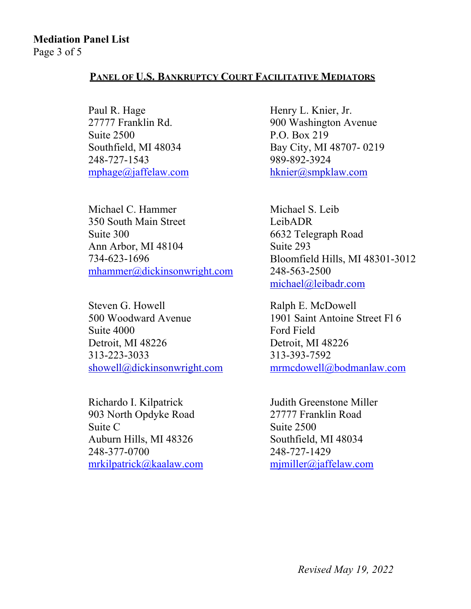#### **PANEL OF U.S. BANKRUPTCY COURT FACILITATIVE MEDIATORS**

Paul R. Hage 27777 Franklin Rd. Suite 2500 Southfield, MI 48034 248-727-1543 mphage@jaffelaw.com

Michael C. Hammer 350 South Main Street Suite 300 Ann Arbor, MI 48104 734-623-1696 mhammer@dickinsonwright.com

Steven G. Howell 500 Woodward Avenue Suite 4000 Detroit, MI 48226 313-223-3033 showell@dickinsonwright.com

Richardo I. Kilpatrick 903 North Opdyke Road Suite C Auburn Hills, MI 48326 248-377-0700 mrkilpatrick@kaalaw.com

Henry L. Knier, Jr. 900 Washington Avenue P.O. Box 219 Bay City, MI 48707- 0219 989-892-3924 hknier@smpklaw.com

Michael S. Leib LeibADR 6632 Telegraph Road Suite 293 Bloomfield Hills, MI 48301-3012 248-563-2500 michael@leibadr.com

Ralph E. McDowell 1901 Saint Antoine Street Fl 6 Ford Field Detroit, MI 48226 313-393-7592 mrmcdowell@bodmanlaw.com

Judith Greenstone Miller 27777 Franklin Road Suite 2500 Southfield, MI 48034 248-727-1429 mjmiller@jaffelaw.com

*Revised May 19, 2022*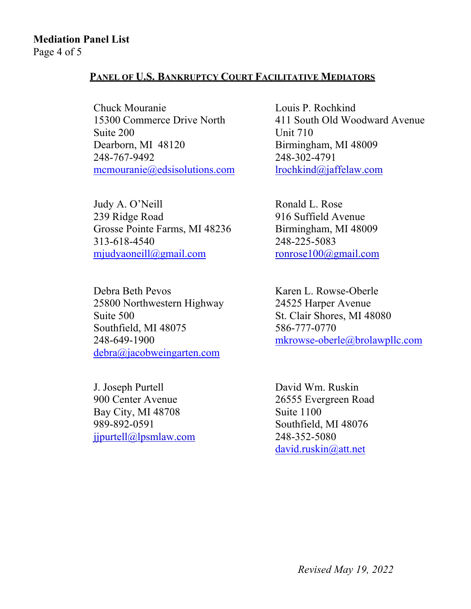### **Mediation Panel List**

Page 4 of 5

#### **PANEL OF U.S. BANKRUPTCY COURT FACILITATIVE MEDIATORS**

Chuck Mouranie 15300 Commerce Drive North Suite 200 Dearborn, MI 48120 248-767-9492 mcmouranie@edsisolutions.com

Judy A. O'Neill 239 Ridge Road Grosse Pointe Farms, MI 48236 313-618-4540 mjudyaoneill@gmail.com

Debra Beth Pevos 25800 Northwestern Highway Suite 500 Southfield, MI 48075 248-649-1900 debra@jacobweingarten.com

J. Joseph Purtell 900 Center Avenue Bay City, MI 48708 989-892-0591 jjpurtell@lpsmlaw.com Louis P. Rochkind 411 South Old Woodward Avenue Unit 710 Birmingham, MI 48009 248-302-4791 lrochkind@jaffelaw.com

Ronald L. Rose 916 Suffield Avenue Birmingham, MI 48009 248-225-5083 ronrose100@gmail.com

Karen L. Rowse-Oberle 24525 Harper Avenue St. Clair Shores, MI 48080 586-777-0770 mkrowse-oberle@brolawpllc.com

David Wm. Ruskin 26555 Evergreen Road Suite 1100 Southfield, MI 48076 248-352-5080 david.ruskin@att.net

*Revised May 19, 2022*